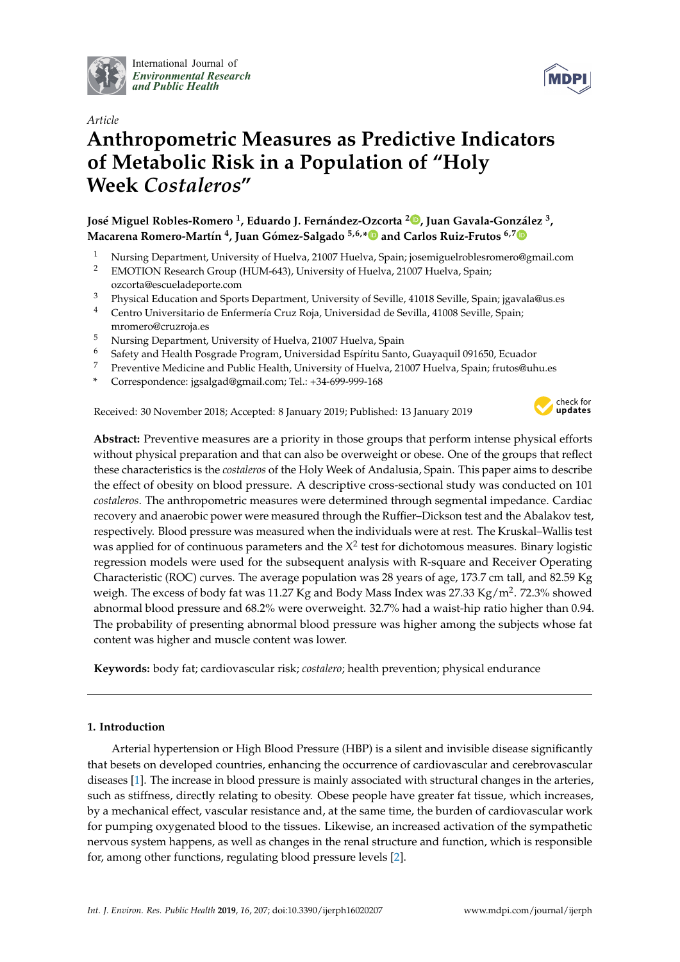

International Journal of *[Environmental Research](http://www.mdpi.com/journal/ijerph) and Public Health*



# *Article* **Anthropometric Measures as Predictive Indicators of Metabolic Risk in a Population of "Holy Week** *Costaleros***"**

**José Miguel Robles-Romero <sup>1</sup> , Eduardo J. Fernández-Ozcorta <sup>2</sup> [,](https://orcid.org/0000-0001-9823-1306) Juan Gavala-González <sup>3</sup> , Macarena Romero-Martín 4 , Juan Gómez-Salgado 5,6,[\\*](https://orcid.org/0000-0001-9053-7730) and Carlos Ruiz-Frutos 6,[7](https://orcid.org/0000-0003-3715-1382)**

- <sup>1</sup> Nursing Department, University of Huelva, 21007 Huelva, Spain; josemiguelroblesromero@gmail.com<br><sup>2</sup> EMOTION Research Croup (HUM 643) University of Huelva, 21007 Huelva, Spain;
- <sup>2</sup> EMOTION Research Group (HUM-643), University of Huelva, 21007 Huelva, Spain; ozcorta@escueladeporte.com
- <sup>3</sup> Physical Education and Sports Department, University of Seville, 41018 Seville, Spain; jgavala@us.es<br><sup>4</sup> Centro Universitario de Enfermería Cruz Roja, Universidad de Sevilla, 41008 Seville, Spain;
- <sup>4</sup> Centro Universitario de Enfermería Cruz Roja, Universidad de Sevilla, 41008 Seville, Spain; mromero@cruzroja.es
- <sup>5</sup> Nursing Department, University of Huelva, 21007 Huelva, Spain
- <sup>6</sup> Safety and Health Posgrade Program, Universidad Espíritu Santo, Guayaquil 091650, Ecuador
- <sup>7</sup> Preventive Medicine and Public Health, University of Huelva, 21007 Huelva, Spain; frutos@uhu.es
- **\*** Correspondence: jgsalgad@gmail.com; Tel.: +34-699-999-168

Received: 30 November 2018; Accepted: 8 January 2019; Published: 13 January 2019



**Abstract:** Preventive measures are a priority in those groups that perform intense physical efforts without physical preparation and that can also be overweight or obese. One of the groups that reflect these characteristics is the *costaleros* of the Holy Week of Andalusia, Spain. This paper aims to describe the effect of obesity on blood pressure. A descriptive cross-sectional study was conducted on 101 *costaleros*. The anthropometric measures were determined through segmental impedance. Cardiac recovery and anaerobic power were measured through the Ruffier–Dickson test and the Abalakov test, respectively. Blood pressure was measured when the individuals were at rest. The Kruskal–Wallis test was applied for of continuous parameters and the  $X^2$  test for dichotomous measures. Binary logistic regression models were used for the subsequent analysis with R-square and Receiver Operating Characteristic (ROC) curves. The average population was 28 years of age, 173.7 cm tall, and 82.59 Kg weigh. The excess of body fat was 11.27 Kg and Body Mass Index was 27.33 Kg/m<sup>2</sup>. 72.3% showed abnormal blood pressure and 68.2% were overweight. 32.7% had a waist-hip ratio higher than 0.94. The probability of presenting abnormal blood pressure was higher among the subjects whose fat content was higher and muscle content was lower.

**Keywords:** body fat; cardiovascular risk; *costalero*; health prevention; physical endurance

# **1. Introduction**

Arterial hypertension or High Blood Pressure (HBP) is a silent and invisible disease significantly that besets on developed countries, enhancing the occurrence of cardiovascular and cerebrovascular diseases [\[1\]](#page-7-0). The increase in blood pressure is mainly associated with structural changes in the arteries, such as stiffness, directly relating to obesity. Obese people have greater fat tissue, which increases, by a mechanical effect, vascular resistance and, at the same time, the burden of cardiovascular work for pumping oxygenated blood to the tissues. Likewise, an increased activation of the sympathetic nervous system happens, as well as changes in the renal structure and function, which is responsible for, among other functions, regulating blood pressure levels [\[2\]](#page-7-1).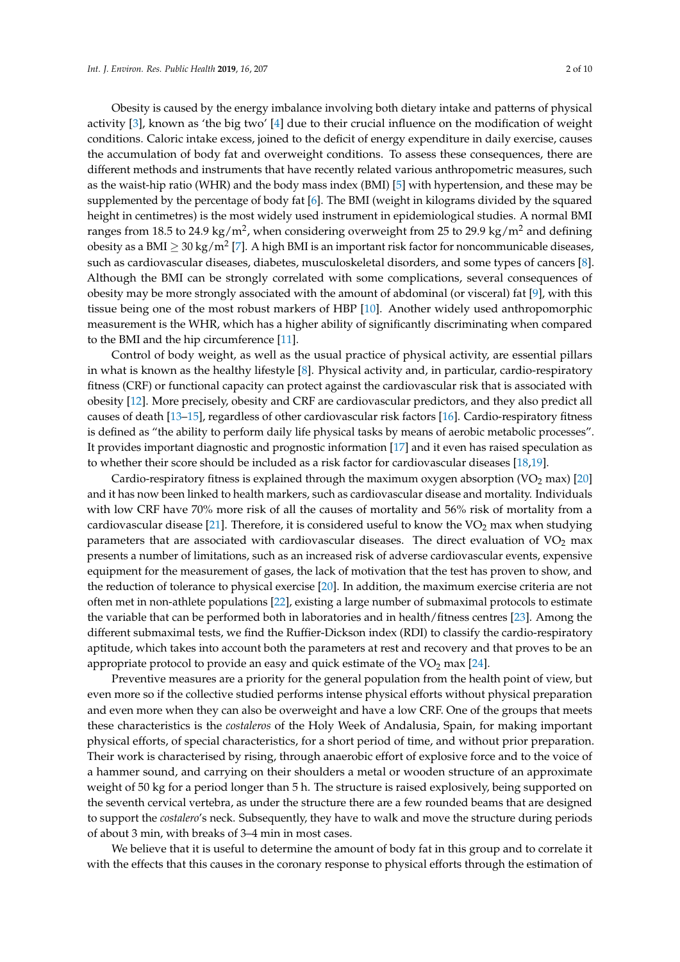Obesity is caused by the energy imbalance involving both dietary intake and patterns of physical activity [\[3\]](#page-7-2), known as 'the big two' [\[4\]](#page-7-3) due to their crucial influence on the modification of weight conditions. Caloric intake excess, joined to the deficit of energy expenditure in daily exercise, causes the accumulation of body fat and overweight conditions. To assess these consequences, there are different methods and instruments that have recently related various anthropometric measures, such as the waist-hip ratio (WHR) and the body mass index (BMI) [\[5\]](#page-7-4) with hypertension, and these may be supplemented by the percentage of body fat [\[6\]](#page-7-5). The BMI (weight in kilograms divided by the squared height in centimetres) is the most widely used instrument in epidemiological studies. A normal BMI ranges from 18.5 to 24.9 kg/m<sup>2</sup>, when considering overweight from 25 to 29.9 kg/m<sup>2</sup> and defining obesity as a BMI  $\geq$  30 kg/m<sup>2</sup> [\[7\]](#page-7-6). A high BMI is an important risk factor for noncommunicable diseases, such as cardiovascular diseases, diabetes, musculoskeletal disorders, and some types of cancers [\[8\]](#page-7-7). Although the BMI can be strongly correlated with some complications, several consequences of obesity may be more strongly associated with the amount of abdominal (or visceral) fat [\[9\]](#page-7-8), with this tissue being one of the most robust markers of HBP [\[10\]](#page-7-9). Another widely used anthropomorphic measurement is the WHR, which has a higher ability of significantly discriminating when compared to the BMI and the hip circumference [\[11\]](#page-7-10).

Control of body weight, as well as the usual practice of physical activity, are essential pillars in what is known as the healthy lifestyle  $[8]$ . Physical activity and, in particular, cardio-respiratory fitness (CRF) or functional capacity can protect against the cardiovascular risk that is associated with obesity [\[12\]](#page-7-11). More precisely, obesity and CRF are cardiovascular predictors, and they also predict all causes of death [\[13](#page-7-12)[–15\]](#page-7-13), regardless of other cardiovascular risk factors [\[16\]](#page-7-14). Cardio-respiratory fitness is defined as "the ability to perform daily life physical tasks by means of aerobic metabolic processes". It provides important diagnostic and prognostic information [\[17\]](#page-7-15) and it even has raised speculation as to whether their score should be included as a risk factor for cardiovascular diseases [\[18,](#page-8-0)[19\]](#page-8-1).

Cardio-respiratory fitness is explained through the maximum oxygen absorption  $(\rm{VO}_2 \, \rm{max})$  [\[20\]](#page-8-2) and it has now been linked to health markers, such as cardiovascular disease and mortality. Individuals with low CRF have 70% more risk of all the causes of mortality and 56% risk of mortality from a cardiovascular disease [\[21\]](#page-8-3). Therefore, it is considered useful to know the  $VO<sub>2</sub>$  max when studying parameters that are associated with cardiovascular diseases. The direct evaluation of  $VO<sub>2</sub>$  max presents a number of limitations, such as an increased risk of adverse cardiovascular events, expensive equipment for the measurement of gases, the lack of motivation that the test has proven to show, and the reduction of tolerance to physical exercise [\[20\]](#page-8-2). In addition, the maximum exercise criteria are not often met in non-athlete populations [\[22\]](#page-8-4), existing a large number of submaximal protocols to estimate the variable that can be performed both in laboratories and in health/fitness centres [\[23\]](#page-8-5). Among the different submaximal tests, we find the Ruffier-Dickson index (RDI) to classify the cardio-respiratory aptitude, which takes into account both the parameters at rest and recovery and that proves to be an appropriate protocol to provide an easy and quick estimate of the  $VO<sub>2</sub>$  max [\[24\]](#page-8-6).

Preventive measures are a priority for the general population from the health point of view, but even more so if the collective studied performs intense physical efforts without physical preparation and even more when they can also be overweight and have a low CRF. One of the groups that meets these characteristics is the *costaleros* of the Holy Week of Andalusia, Spain, for making important physical efforts, of special characteristics, for a short period of time, and without prior preparation. Their work is characterised by rising, through anaerobic effort of explosive force and to the voice of a hammer sound, and carrying on their shoulders a metal or wooden structure of an approximate weight of 50 kg for a period longer than 5 h. The structure is raised explosively, being supported on the seventh cervical vertebra, as under the structure there are a few rounded beams that are designed to support the *costalero*'s neck. Subsequently, they have to walk and move the structure during periods of about 3 min, with breaks of 3–4 min in most cases.

We believe that it is useful to determine the amount of body fat in this group and to correlate it with the effects that this causes in the coronary response to physical efforts through the estimation of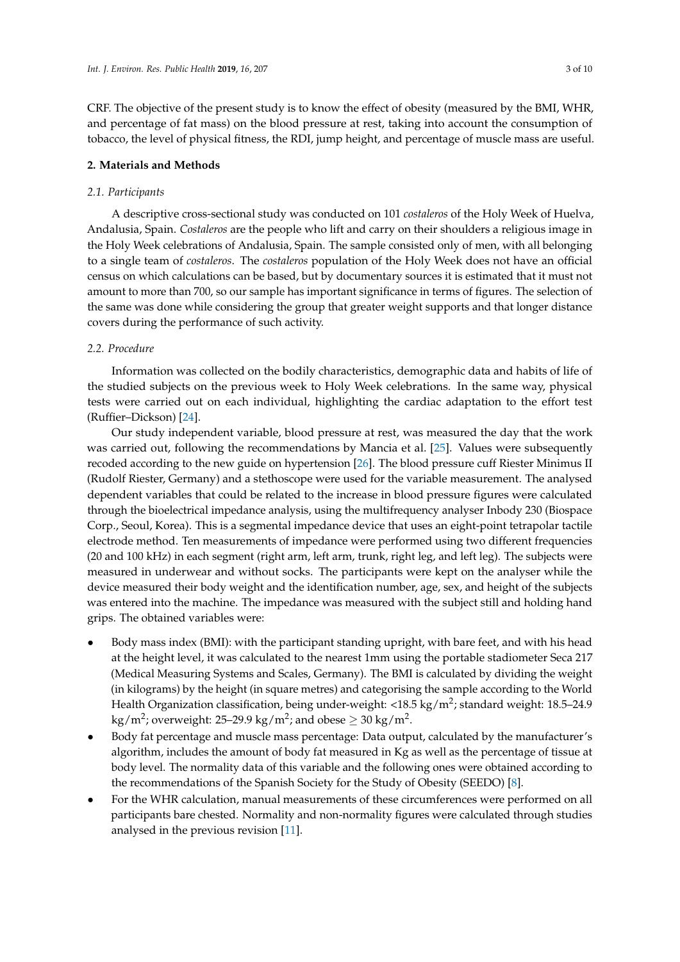CRF. The objective of the present study is to know the effect of obesity (measured by the BMI, WHR, and percentage of fat mass) on the blood pressure at rest, taking into account the consumption of tobacco, the level of physical fitness, the RDI, jump height, and percentage of muscle mass are useful.

#### **2. Materials and Methods**

#### *2.1. Participants*

A descriptive cross-sectional study was conducted on 101 *costaleros* of the Holy Week of Huelva, Andalusia, Spain. *Costaleros* are the people who lift and carry on their shoulders a religious image in the Holy Week celebrations of Andalusia, Spain. The sample consisted only of men, with all belonging to a single team of *costaleros*. The *costaleros* population of the Holy Week does not have an official census on which calculations can be based, but by documentary sources it is estimated that it must not amount to more than 700, so our sample has important significance in terms of figures. The selection of the same was done while considering the group that greater weight supports and that longer distance covers during the performance of such activity.

#### *2.2. Procedure*

Information was collected on the bodily characteristics, demographic data and habits of life of the studied subjects on the previous week to Holy Week celebrations. In the same way, physical tests were carried out on each individual, highlighting the cardiac adaptation to the effort test (Ruffier–Dickson) [\[24\]](#page-8-6).

Our study independent variable, blood pressure at rest, was measured the day that the work was carried out, following the recommendations by Mancia et al. [\[25\]](#page-8-7). Values were subsequently recoded according to the new guide on hypertension [\[26\]](#page-8-8). The blood pressure cuff Riester Minimus II (Rudolf Riester, Germany) and a stethoscope were used for the variable measurement. The analysed dependent variables that could be related to the increase in blood pressure figures were calculated through the bioelectrical impedance analysis, using the multifrequency analyser Inbody 230 (Biospace Corp., Seoul, Korea). This is a segmental impedance device that uses an eight-point tetrapolar tactile electrode method. Ten measurements of impedance were performed using two different frequencies (20 and 100 kHz) in each segment (right arm, left arm, trunk, right leg, and left leg). The subjects were measured in underwear and without socks. The participants were kept on the analyser while the device measured their body weight and the identification number, age, sex, and height of the subjects was entered into the machine. The impedance was measured with the subject still and holding hand grips. The obtained variables were:

- Body mass index (BMI): with the participant standing upright, with bare feet, and with his head at the height level, it was calculated to the nearest 1mm using the portable stadiometer Seca 217 (Medical Measuring Systems and Scales, Germany). The BMI is calculated by dividing the weight (in kilograms) by the height (in square metres) and categorising the sample according to the World Health Organization classification, being under-weight: <18.5 kg/m<sup>2</sup>; standard weight: 18.5–24.9 kg/m<sup>2</sup>; overweight: 25–29.9 kg/m<sup>2</sup>; and obese  $\geq$  30 kg/m<sup>2</sup>.
- Body fat percentage and muscle mass percentage: Data output, calculated by the manufacturer's algorithm, includes the amount of body fat measured in Kg as well as the percentage of tissue at body level. The normality data of this variable and the following ones were obtained according to the recommendations of the Spanish Society for the Study of Obesity (SEEDO) [\[8\]](#page-7-7).
- For the WHR calculation, manual measurements of these circumferences were performed on all participants bare chested. Normality and non-normality figures were calculated through studies analysed in the previous revision [\[11\]](#page-7-10).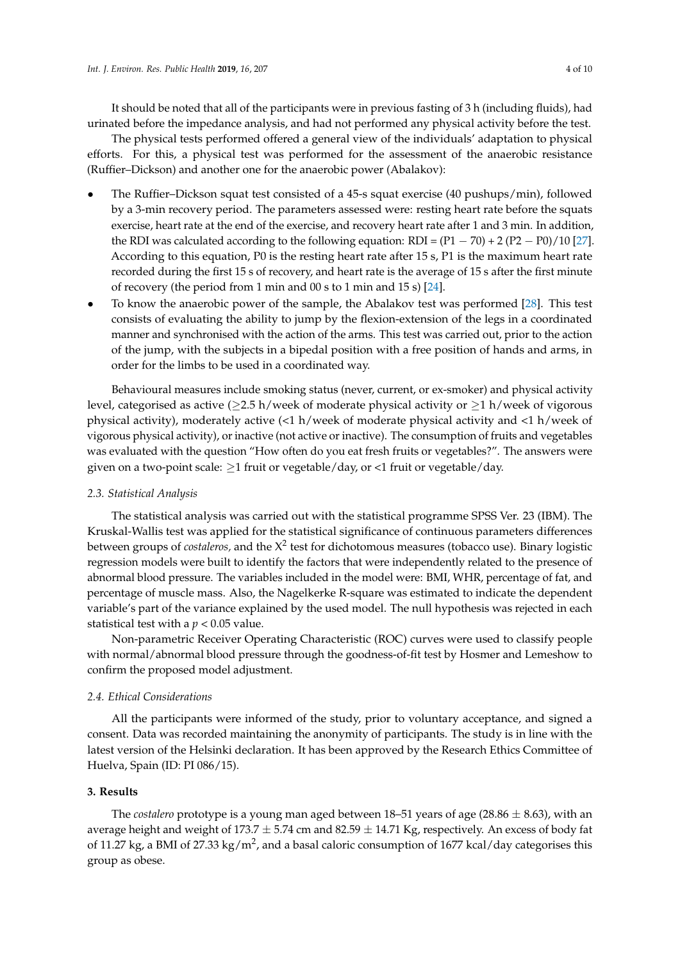It should be noted that all of the participants were in previous fasting of 3 h (including fluids), had urinated before the impedance analysis, and had not performed any physical activity before the test.

The physical tests performed offered a general view of the individuals' adaptation to physical efforts. For this, a physical test was performed for the assessment of the anaerobic resistance (Ruffier–Dickson) and another one for the anaerobic power (Abalakov):

- The Ruffier–Dickson squat test consisted of a 45-s squat exercise (40 pushups/min), followed by a 3-min recovery period. The parameters assessed were: resting heart rate before the squats exercise, heart rate at the end of the exercise, and recovery heart rate after 1 and 3 min. In addition, the RDI was calculated according to the following equation: RDI =  $(P1 - 70) + 2 (P2 - P0)/10 [27]$  $(P1 - 70) + 2 (P2 - P0)/10 [27]$ . According to this equation, P0 is the resting heart rate after 15 s, P1 is the maximum heart rate recorded during the first 15 s of recovery, and heart rate is the average of 15 s after the first minute of recovery (the period from 1 min and 00 s to 1 min and 15 s) [\[24\]](#page-8-6).
- To know the anaerobic power of the sample, the Abalakov test was performed [\[28\]](#page-8-10). This test consists of evaluating the ability to jump by the flexion-extension of the legs in a coordinated manner and synchronised with the action of the arms. This test was carried out, prior to the action of the jump, with the subjects in a bipedal position with a free position of hands and arms, in order for the limbs to be used in a coordinated way.

Behavioural measures include smoking status (never, current, or ex-smoker) and physical activity level, categorised as active ( $\geq$ 2.5 h/week of moderate physical activity or  $\geq$ 1 h/week of vigorous physical activity), moderately active (<1 h/week of moderate physical activity and <1 h/week of vigorous physical activity), or inactive (not active or inactive). The consumption of fruits and vegetables was evaluated with the question "How often do you eat fresh fruits or vegetables?". The answers were given on a two-point scale: ≥1 fruit or vegetable/day, or <1 fruit or vegetable/day.

#### *2.3. Statistical Analysis*

The statistical analysis was carried out with the statistical programme SPSS Ver. 23 (IBM). The Kruskal-Wallis test was applied for the statistical significance of continuous parameters differences between groups of *costaleros,* and the  $X^2$  test for dichotomous measures (tobacco use). Binary logistic regression models were built to identify the factors that were independently related to the presence of abnormal blood pressure. The variables included in the model were: BMI, WHR, percentage of fat, and percentage of muscle mass. Also, the Nagelkerke R-square was estimated to indicate the dependent variable's part of the variance explained by the used model. The null hypothesis was rejected in each statistical test with a *p* < 0.05 value.

Non-parametric Receiver Operating Characteristic (ROC) curves were used to classify people with normal/abnormal blood pressure through the goodness-of-fit test by Hosmer and Lemeshow to confirm the proposed model adjustment.

### *2.4. Ethical Considerations*

All the participants were informed of the study, prior to voluntary acceptance, and signed a consent. Data was recorded maintaining the anonymity of participants. The study is in line with the latest version of the Helsinki declaration. It has been approved by the Research Ethics Committee of Huelva, Spain (ID: PI 086/15).

# **3. Results**

The *costalero* prototype is a young man aged between 18–51 years of age (28.86  $\pm$  8.63), with an average height and weight of 173.7  $\pm$  5.74 cm and 82.59  $\pm$  14.71 Kg, respectively. An excess of body fat of 11.27 kg, a BMI of 27.33 kg/m<sup>2</sup>, and a basal caloric consumption of 1677 kcal/day categorises this group as obese.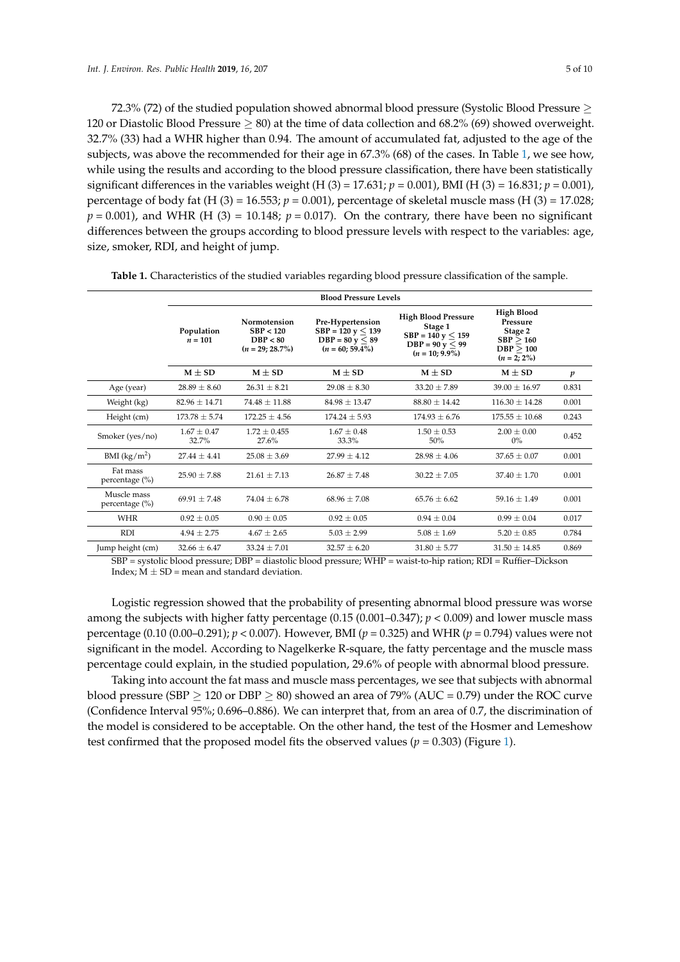72.3% (72) of the studied population showed abnormal blood pressure (Systolic Blood Pressure ≥ 120 or Diastolic Blood Pressure  $\geq$  80) at the time of data collection and 68.2% (69) showed overweight. 32.7% (33) had a WHR higher than 0.94. The amount of accumulated fat, adjusted to the age of the subjects, was above the recommended for their age in 67.3% (68) of the cases. In Table [1,](#page-4-0) we see how, while using the results and according to the blood pressure classification, there have been statistically significant differences in the variables weight (H  $(3) = 17.631; p = 0.001$ ), BMI (H  $(3) = 16.831; p = 0.001$ ), percentage of body fat (H (3) = 16.553;  $p = 0.001$ ), percentage of skeletal muscle mass (H (3) = 17.028;  $p = 0.001$ ), and WHR (H (3) = 10.148;  $p = 0.017$ ). On the contrary, there have been no significant differences between the groups according to blood pressure levels with respect to the variables: age, size, smoker, RDI, and height of jump.

|                                   | <b>Blood Pressure Levels</b> |                                                                    |                                                                                              |                                                                                                             |                                                                                      |       |
|-----------------------------------|------------------------------|--------------------------------------------------------------------|----------------------------------------------------------------------------------------------|-------------------------------------------------------------------------------------------------------------|--------------------------------------------------------------------------------------|-------|
|                                   | Population<br>$n = 101$      | <b>Normotension</b><br>SBP < 120<br>DBP < 80<br>$(n = 29; 28.7\%)$ | Pre-Hypertension<br>$SBP = 120$ y $\leq 139$<br>$DBP = 80$ y $\leq 89$<br>$(n = 60; 59.4\%)$ | <b>High Blood Pressure</b><br>Stage 1<br>$SBP = 140$ y $\leq 159$<br>$DBP = 90 y < 99$<br>$(n = 10; 9.9\%)$ | <b>High Blood</b><br>Pressure<br>Stage 2<br>SBP > 160<br>DBP > 100<br>$(n = 2; 2\%)$ |       |
|                                   | $M \pm SD$                   | $M \pm SD$                                                         | $M \pm SD$                                                                                   | $M \pm SD$                                                                                                  | $M \pm SD$                                                                           | p     |
| Age (year)                        | $28.89 \pm 8.60$             | $26.31 \pm 8.21$                                                   | $29.08 + 8.30$                                                                               | $33.20 \pm 7.89$                                                                                            | $39.00 + 16.97$                                                                      | 0.831 |
| Weight (kg)                       | $82.96 \pm 14.71$            | $74.48 \pm 11.88$                                                  | $84.98 \pm 13.47$                                                                            | $88.80 + 14.42$                                                                                             | $116.30 \pm 14.28$                                                                   | 0.001 |
| Height (cm)                       | $173.78 \pm 5.74$            | $172.25 + 4.56$                                                    | $174.24 + 5.93$                                                                              | $174.93 + 6.76$                                                                                             | $175.55 \pm 10.68$                                                                   | 0.243 |
| Smoker (yes/no)                   | $1.67 + 0.47$<br>32.7%       | $1.72 + 0.455$<br>27.6%                                            | $1.67 + 0.48$<br>33.3%                                                                       | $1.50 + 0.53$<br>50%                                                                                        | $2.00 \pm 0.00$<br>$0\%$                                                             | 0.452 |
| BMI (kg/m <sup>2</sup> )          | $27.44 \pm 4.41$             | $25.08 \pm 3.69$                                                   | $27.99 \pm 4.12$                                                                             | $28.98 \pm 4.06$                                                                                            | $37.65 \pm 0.07$                                                                     | 0.001 |
| Fat mass<br>percentage $(\% )$    | $25.90 \pm 7.88$             | $21.61 + 7.13$                                                     | $26.87 + 7.48$                                                                               | $30.22 \pm 7.05$                                                                                            | $37.40 + 1.70$                                                                       | 0.001 |
| Muscle mass<br>percentage $(\% )$ | $69.91 + 7.48$               | $74.04 + 6.78$                                                     | $68.96 \pm 7.08$                                                                             | $65.76 + 6.62$                                                                                              | $59.16 + 1.49$                                                                       | 0.001 |
| <b>WHR</b>                        | $0.92 \pm 0.05$              | $0.90 \pm 0.05$                                                    | $0.92 \pm 0.05$                                                                              | $0.94 + 0.04$                                                                                               | $0.99 \pm 0.04$                                                                      | 0.017 |
| <b>RDI</b>                        | $4.94 \pm 2.75$              | $4.67 + 2.65$                                                      | $5.03 \pm 2.99$                                                                              | $5.08 + 1.69$                                                                                               | $5.20 \pm 0.85$                                                                      | 0.784 |
| Jump height (cm)                  | $32.66 \pm 6.47$             | $33.24 \pm 7.01$                                                   | $32.57 \pm 6.20$                                                                             | $31.80 \pm 5.77$                                                                                            | $31.50 \pm 14.85$                                                                    | 0.869 |

<span id="page-4-0"></span>**Table 1.** Characteristics of the studied variables regarding blood pressure classification of the sample.

SBP = systolic blood pressure; DBP = diastolic blood pressure; WHP = waist-to-hip ration; RDI = Ruffier–Dickson Index;  $M \pm SD$  = mean and standard deviation.

Logistic regression showed that the probability of presenting abnormal blood pressure was worse among the subjects with higher fatty percentage  $(0.15 (0.001 - 0.347); p < 0.009)$  and lower muscle mass percentage (0.10 (0.00–0.291); *p* < 0.007). However, BMI (*p* = 0.325) and WHR (*p* = 0.794) values were not significant in the model. According to Nagelkerke R-square, the fatty percentage and the muscle mass percentage could explain, in the studied population, 29.6% of people with abnormal blood pressure.

Taking into account the fat mass and muscle mass percentages, we see that subjects with abnormal blood pressure (SBP  $\geq$  120 or DBP  $\geq$  80) showed an area of 79% (AUC = 0.79) under the ROC curve (Confidence Interval 95%; 0.696–0.886). We can interpret that, from an area of 0.7, the discrimination of the model is considered to be acceptable. On the other hand, the test of the Hosmer and Lemeshow test confirmed that the proposed model fits the observed values ( $p = 0.303$ ) (Figure [1\)](#page-5-0).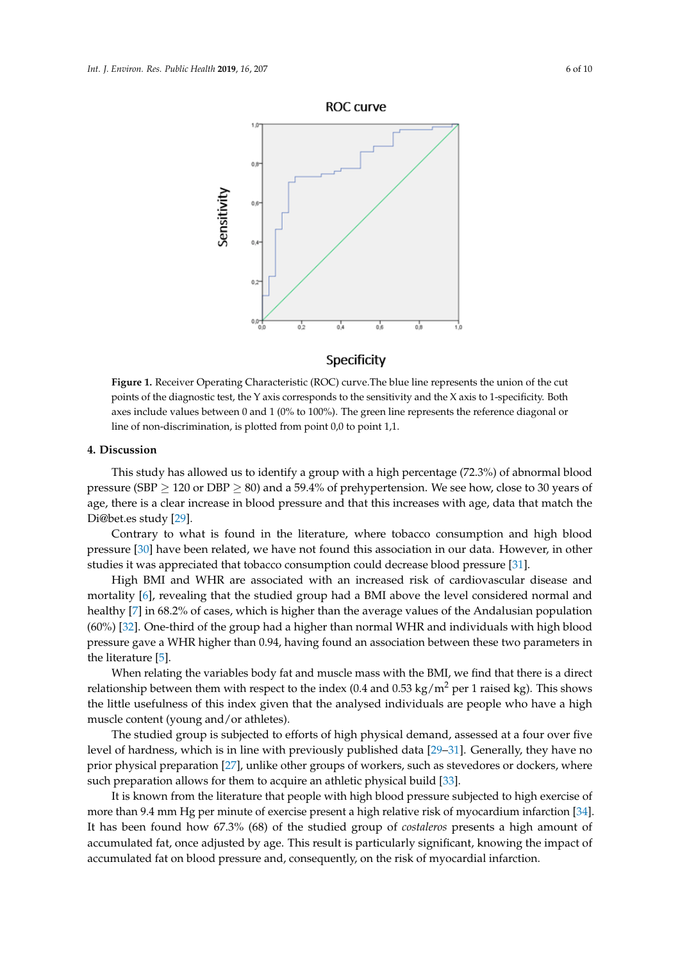<span id="page-5-0"></span>

# Specificity

**Figure 1.** Receiver Operating Characteristic (ROC) curve.The blue line represents the union of the cut **Figure 1.** Receiver Operating Characteristic (ROC) curve.The blue line represents the union of the cut points of the diagnostic test, the Y axis corresponds to the sensitivity and the X axis to 1-specificity. points of the diagnostic test, the Y axis corresponds to the sensitivity and the X axis to 1-specificity. Both axes include values between 0 and 1 (0% to 100%). The green line represents the reference diagonal or line of non-discrimination, is plotted from point 0,0 to point 1,1.

#### **4. Discussion 4. Discussion**

pressure (SBP  $\geq$  120 or DBP  $\geq$  80) and a 59.4% of prehypertension. We see how, close to 30 years of  $\mathbf{R}$  there is a clear increase in blood pressure and that this increases with associate that match the age, there is a clear increase in blood pressure and that this increases with age, data that match the<br>Di@bet.cs.ctudy [20] This study has allowed us to identify a group with a high percentage (72.3%) of abnormal blood Di@bet.es study [\[29\]](#page-8-11).

Contrary to what is found in the literature, where tobacco consumption and high blood pressure [\[30\]](#page-8-12) have been related, we have not found this association in our data. However, in other FILM TERN RELATE TO THE TRIM THIS ASSOCIATED TO THE TRIM THE TRIM THE STREET THE STREET THAT STREET THE STREET STREET THAT STREET THE STREET THAT STREET THE STREET THAT STREET THE STREET THAT STREET THAT STREET THE STREET

High BMI and WHR are associated with an increased risk of cardiovascular disease and mortality [\[6\]](#page-7-5), revealing that the studied group had a BMI above the level considered normal and healthy [\[7\]](#page-7-6) in 68.2% of cases, which is higher than the average values of the Andalusian population  $\frac{1}{2}$  is 1.4.2% of cases, which is the average values of the Andalusian population population population population population population (60%) [\[32\]](#page-8-14). One-third of the group had a higher than normal WHR and individuals  $\frac{1}{2}$ . One-third of the group of the group had a higher than  $\frac{1}{2}$  and  $\frac{1}{2}$  are accessible between these two parameters in pressure gave a WHR higher than 0.94, having found an association between these two parameters pressure gave a WHR higher than 0.94, having found an association between these two parameters in the literature [\[5\]](#page-7-4).

When relating the variables body fat and muscle mass with the BMI, we find that there is a direct relationship between them with respect to the index (0.4 and 0.53 kg/m<sup>2</sup> per 1 raised kg). This shows relationship between the index circuit to analyzed individuals are needs ( $\mu$  between  $\mu$ ). This shows that  $\mu$ the little usefulness of this index given that the analysed individuals are people who have a high muscle contant (young and (an athletoo) muscle content (young and/or athletes).

The studied group is subjected to efforts of high physical demand, assessed at a four over five level of hardness, which is in line with previously published data  $[29-31]$  $[29-31]$ . Generally, they have no prior physical preparation [\[27\]](#page-8-9), unlike other groups of workers, such as stevedores or dockers, where prior physical preparation allows for them to acquire an athletic physical build [\[33\]](#page-8-15).

It is known from the literature that people with high blood pressure subjected to high exercise of more than 9.4 mm Hg per minute of exercise present a high relative risk of myocardium infarction [\[34\]](#page-9-0). It has been found how 67.3% (68) of the studied group of *costaleros* presents a high amount of accumulated fat, once adjusted by age. This result is particularly significant, knowing the impact of accumulated fat, on change adjusted by age. This result is particularly significant, and  $\frac{1}{2}$  and  $\frac{1}{2}$  and  $\frac{1}{2}$  and  $\frac{1}{2}$  and  $\frac{1}{2}$  and  $\frac{1}{2}$  and  $\frac{1}{2}$  and  $\frac{1}{2}$  and  $\frac{1}{2}$  and  $\frac{1}{$ accumulated fat on blood pressure and, consequently, on the risk of myocardial infarction. accumulated fat on blood pressure and, consequently, on the risk of myocardial infarction.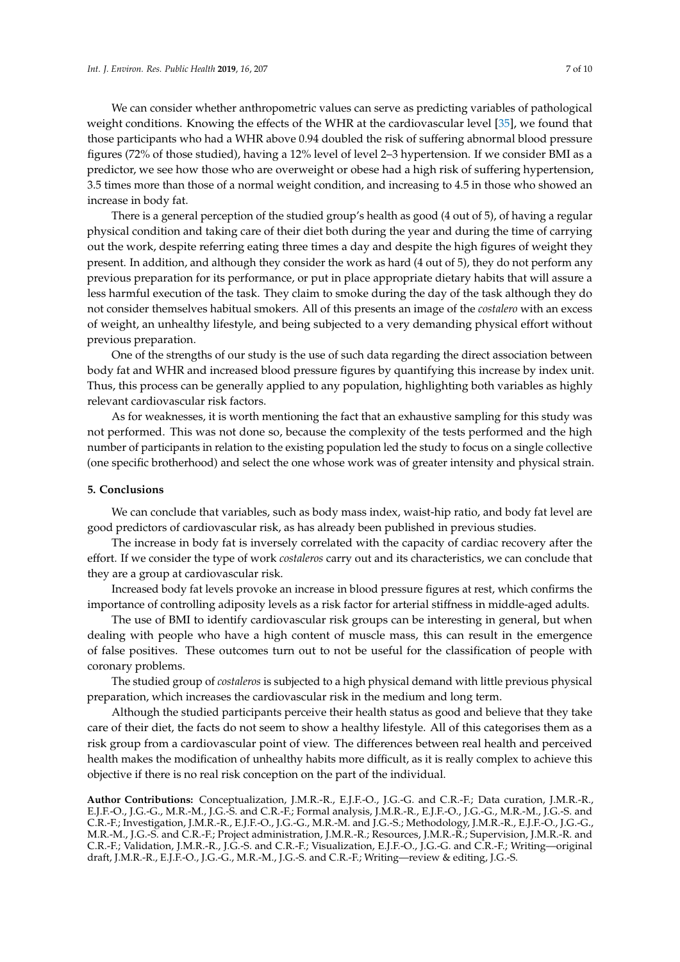We can consider whether anthropometric values can serve as predicting variables of pathological weight conditions. Knowing the effects of the WHR at the cardiovascular level [\[35\]](#page-9-1), we found that those participants who had a WHR above 0.94 doubled the risk of suffering abnormal blood pressure figures (72% of those studied), having a 12% level of level 2–3 hypertension. If we consider BMI as a predictor, we see how those who are overweight or obese had a high risk of suffering hypertension, 3.5 times more than those of a normal weight condition, and increasing to 4.5 in those who showed an increase in body fat.

There is a general perception of the studied group's health as good (4 out of 5), of having a regular physical condition and taking care of their diet both during the year and during the time of carrying out the work, despite referring eating three times a day and despite the high figures of weight they present. In addition, and although they consider the work as hard (4 out of 5), they do not perform any previous preparation for its performance, or put in place appropriate dietary habits that will assure a less harmful execution of the task. They claim to smoke during the day of the task although they do not consider themselves habitual smokers. All of this presents an image of the *costalero* with an excess of weight, an unhealthy lifestyle, and being subjected to a very demanding physical effort without previous preparation.

One of the strengths of our study is the use of such data regarding the direct association between body fat and WHR and increased blood pressure figures by quantifying this increase by index unit. Thus, this process can be generally applied to any population, highlighting both variables as highly relevant cardiovascular risk factors.

As for weaknesses, it is worth mentioning the fact that an exhaustive sampling for this study was not performed. This was not done so, because the complexity of the tests performed and the high number of participants in relation to the existing population led the study to focus on a single collective (one specific brotherhood) and select the one whose work was of greater intensity and physical strain.

#### **5. Conclusions**

We can conclude that variables, such as body mass index, waist-hip ratio, and body fat level are good predictors of cardiovascular risk, as has already been published in previous studies.

The increase in body fat is inversely correlated with the capacity of cardiac recovery after the effort. If we consider the type of work *costaleros* carry out and its characteristics, we can conclude that they are a group at cardiovascular risk.

Increased body fat levels provoke an increase in blood pressure figures at rest, which confirms the importance of controlling adiposity levels as a risk factor for arterial stiffness in middle-aged adults.

The use of BMI to identify cardiovascular risk groups can be interesting in general, but when dealing with people who have a high content of muscle mass, this can result in the emergence of false positives. These outcomes turn out to not be useful for the classification of people with coronary problems.

The studied group of *costaleros* is subjected to a high physical demand with little previous physical preparation, which increases the cardiovascular risk in the medium and long term.

Although the studied participants perceive their health status as good and believe that they take care of their diet, the facts do not seem to show a healthy lifestyle. All of this categorises them as a risk group from a cardiovascular point of view. The differences between real health and perceived health makes the modification of unhealthy habits more difficult, as it is really complex to achieve this objective if there is no real risk conception on the part of the individual.

**Author Contributions:** Conceptualization, J.M.R.-R., E.J.F.-O., J.G.-G. and C.R.-F.; Data curation, J.M.R.-R., E.J.F.-O., J.G.-G., M.R.-M., J.G.-S. and C.R.-F.; Formal analysis, J.M.R.-R., E.J.F.-O., J.G.-G., M.R.-M., J.G.-S. and C.R.-F.; Investigation, J.M.R.-R., E.J.F.-O., J.G.-G., M.R.-M. and J.G.-S.; Methodology, J.M.R.-R., E.J.F.-O., J.G.-G., M.R.-M., J.G.-S. and C.R.-F.; Project administration, J.M.R.-R.; Resources, J.M.R.-R.; Supervision, J.M.R.-R. and C.R.-F.; Validation, J.M.R.-R., J.G.-S. and C.R.-F.; Visualization, E.J.F.-O., J.G.-G. and C.R.-F.; Writing—original draft, J.M.R.-R., E.J.F.-O., J.G.-G., M.R.-M., J.G.-S. and C.R.-F.; Writing—review & editing, J.G.-S.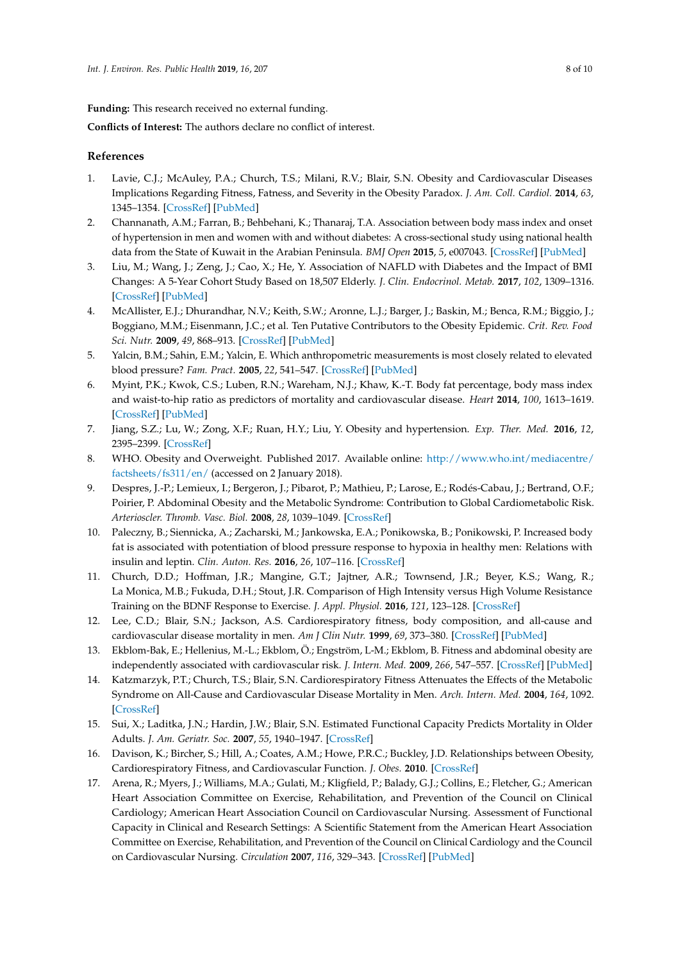**Funding:** This research received no external funding.

**Conflicts of Interest:** The authors declare no conflict of interest.

#### **References**

- <span id="page-7-0"></span>1. Lavie, C.J.; McAuley, P.A.; Church, T.S.; Milani, R.V.; Blair, S.N. Obesity and Cardiovascular Diseases Implications Regarding Fitness, Fatness, and Severity in the Obesity Paradox. *J. Am. Coll. Cardiol.* **2014**, *63*, 1345–1354. [\[CrossRef\]](http://dx.doi.org/10.1016/j.jacc.2014.01.022) [\[PubMed\]](http://www.ncbi.nlm.nih.gov/pubmed/24530666)
- <span id="page-7-1"></span>2. Channanath, A.M.; Farran, B.; Behbehani, K.; Thanaraj, T.A. Association between body mass index and onset of hypertension in men and women with and without diabetes: A cross-sectional study using national health data from the State of Kuwait in the Arabian Peninsula. *BMJ Open* **2015**, *5*, e007043. [\[CrossRef\]](http://dx.doi.org/10.1136/bmjopen-2014-007043) [\[PubMed\]](http://www.ncbi.nlm.nih.gov/pubmed/26044759)
- <span id="page-7-2"></span>3. Liu, M.; Wang, J.; Zeng, J.; Cao, X.; He, Y. Association of NAFLD with Diabetes and the Impact of BMI Changes: A 5-Year Cohort Study Based on 18,507 Elderly. *J. Clin. Endocrinol. Metab.* **2017**, *102*, 1309–1316. [\[CrossRef\]](http://dx.doi.org/10.1210/jc.2016-3440) [\[PubMed\]](http://www.ncbi.nlm.nih.gov/pubmed/28324002)
- <span id="page-7-3"></span>4. McAllister, E.J.; Dhurandhar, N.V.; Keith, S.W.; Aronne, L.J.; Barger, J.; Baskin, M.; Benca, R.M.; Biggio, J.; Boggiano, M.M.; Eisenmann, J.C.; et al. Ten Putative Contributors to the Obesity Epidemic. *Crit. Rev. Food Sci. Nutr.* **2009**, *49*, 868–913. [\[CrossRef\]](http://dx.doi.org/10.1080/10408390903372599) [\[PubMed\]](http://www.ncbi.nlm.nih.gov/pubmed/19960394)
- <span id="page-7-4"></span>5. Yalcin, B.M.; Sahin, E.M.; Yalcin, E. Which anthropometric measurements is most closely related to elevated blood pressure? *Fam. Pract.* **2005**, *22*, 541–547. [\[CrossRef\]](http://dx.doi.org/10.1093/fampra/cmi043) [\[PubMed\]](http://www.ncbi.nlm.nih.gov/pubmed/15964872)
- <span id="page-7-5"></span>6. Myint, P.K.; Kwok, C.S.; Luben, R.N.; Wareham, N.J.; Khaw, K.-T. Body fat percentage, body mass index and waist-to-hip ratio as predictors of mortality and cardiovascular disease. *Heart* **2014**, *100*, 1613–1619. [\[CrossRef\]](http://dx.doi.org/10.1136/heartjnl-2014-305816) [\[PubMed\]](http://www.ncbi.nlm.nih.gov/pubmed/24966306)
- <span id="page-7-6"></span>7. Jiang, S.Z.; Lu, W.; Zong, X.F.; Ruan, H.Y.; Liu, Y. Obesity and hypertension. *Exp. Ther. Med.* **2016**, *12*, 2395–2399. [\[CrossRef\]](http://dx.doi.org/10.3892/etm.2016.3667)
- <span id="page-7-7"></span>8. WHO. Obesity and Overweight. Published 2017. Available online: [http://www.who.int/mediacentre/](http://www.who.int/mediacentre/factsheets/fs311/en/) [factsheets/fs311/en/](http://www.who.int/mediacentre/factsheets/fs311/en/) (accessed on 2 January 2018).
- <span id="page-7-8"></span>9. Despres, J.-P.; Lemieux, I.; Bergeron, J.; Pibarot, P.; Mathieu, P.; Larose, E.; Rodés-Cabau, J.; Bertrand, O.F.; Poirier, P. Abdominal Obesity and the Metabolic Syndrome: Contribution to Global Cardiometabolic Risk. *Arterioscler. Thromb. Vasc. Biol.* **2008**, *28*, 1039–1049. [\[CrossRef\]](http://dx.doi.org/10.1161/ATVBAHA.107.159228)
- <span id="page-7-9"></span>10. Paleczny, B.; Siennicka, A.; Zacharski, M.; Jankowska, E.A.; Ponikowska, B.; Ponikowski, P. Increased body fat is associated with potentiation of blood pressure response to hypoxia in healthy men: Relations with insulin and leptin. *Clin. Auton. Res.* **2016**, *26*, 107–116. [\[CrossRef\]](http://dx.doi.org/10.1007/s10286-015-0338-2)
- <span id="page-7-10"></span>11. Church, D.D.; Hoffman, J.R.; Mangine, G.T.; Jajtner, A.R.; Townsend, J.R.; Beyer, K.S.; Wang, R.; La Monica, M.B.; Fukuda, D.H.; Stout, J.R. Comparison of High Intensity versus High Volume Resistance Training on the BDNF Response to Exercise. *J. Appl. Physiol.* **2016**, *121*, 123–128. [\[CrossRef\]](http://dx.doi.org/10.1152/japplphysiol.00233.2016)
- <span id="page-7-11"></span>12. Lee, C.D.; Blair, S.N.; Jackson, A.S. Cardiorespiratory fitness, body composition, and all-cause and cardiovascular disease mortality in men. *Am J Clin Nutr.* **1999**, *69*, 373–380. [\[CrossRef\]](http://dx.doi.org/10.1093/ajcn/69.3.373) [\[PubMed\]](http://www.ncbi.nlm.nih.gov/pubmed/10075319)
- <span id="page-7-12"></span>13. Ekblom-Bak, E.; Hellenius, M.-L.; Ekblom, Ö.; Engström, L-M.; Ekblom, B. Fitness and abdominal obesity are independently associated with cardiovascular risk. *J. Intern. Med.* **2009**, *266*, 547–557. [\[CrossRef\]](http://dx.doi.org/10.1111/j.1365-2796.2009.02131.x) [\[PubMed\]](http://www.ncbi.nlm.nih.gov/pubmed/19563391)
- 14. Katzmarzyk, P.T.; Church, T.S.; Blair, S.N. Cardiorespiratory Fitness Attenuates the Effects of the Metabolic Syndrome on All-Cause and Cardiovascular Disease Mortality in Men. *Arch. Intern. Med.* **2004**, *164*, 1092. [\[CrossRef\]](http://dx.doi.org/10.1001/archinte.164.10.1092)
- <span id="page-7-13"></span>15. Sui, X.; Laditka, J.N.; Hardin, J.W.; Blair, S.N. Estimated Functional Capacity Predicts Mortality in Older Adults. *J. Am. Geriatr. Soc.* **2007**, *55*, 1940–1947. [\[CrossRef\]](http://dx.doi.org/10.1111/j.1532-5415.2007.01455.x)
- <span id="page-7-14"></span>16. Davison, K.; Bircher, S.; Hill, A.; Coates, A.M.; Howe, P.R.C.; Buckley, J.D. Relationships between Obesity, Cardiorespiratory Fitness, and Cardiovascular Function. *J. Obes.* **2010**. [\[CrossRef\]](http://dx.doi.org/10.1155/2010/191253)
- <span id="page-7-15"></span>17. Arena, R.; Myers, J.; Williams, M.A.; Gulati, M.; Kligfield, P.; Balady, G.J.; Collins, E.; Fletcher, G.; American Heart Association Committee on Exercise, Rehabilitation, and Prevention of the Council on Clinical Cardiology; American Heart Association Council on Cardiovascular Nursing. Assessment of Functional Capacity in Clinical and Research Settings: A Scientific Statement from the American Heart Association Committee on Exercise, Rehabilitation, and Prevention of the Council on Clinical Cardiology and the Council on Cardiovascular Nursing. *Circulation* **2007**, *116*, 329–343. [\[CrossRef\]](http://dx.doi.org/10.1161/CIRCULATIONAHA.106.184461) [\[PubMed\]](http://www.ncbi.nlm.nih.gov/pubmed/17576872)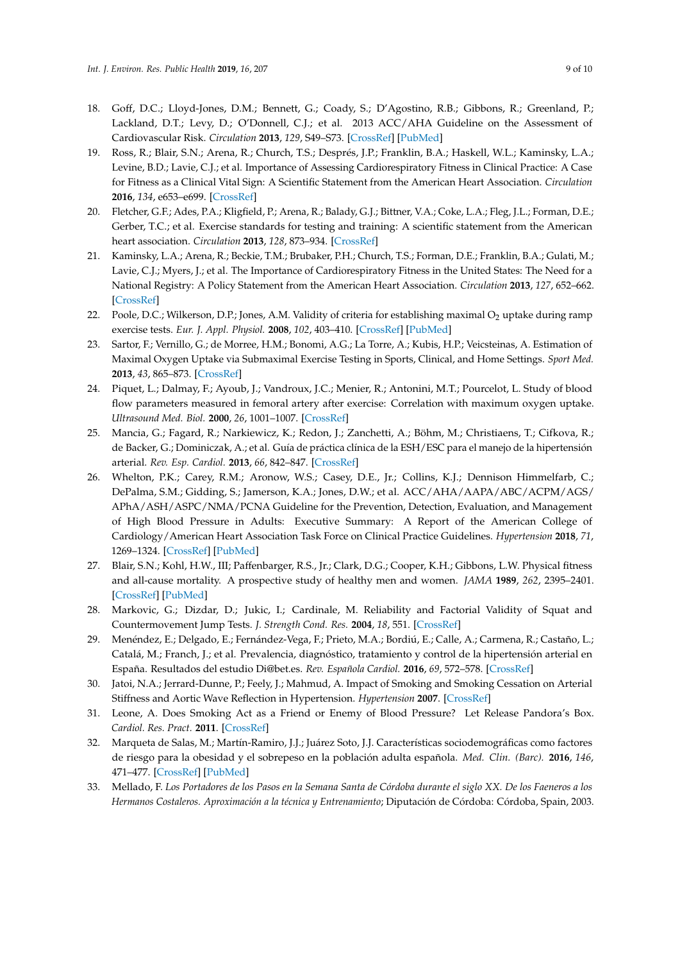- <span id="page-8-0"></span>18. Goff, D.C.; Lloyd-Jones, D.M.; Bennett, G.; Coady, S.; D'Agostino, R.B.; Gibbons, R.; Greenland, P.; Lackland, D.T.; Levy, D.; O'Donnell, C.J.; et al. 2013 ACC/AHA Guideline on the Assessment of Cardiovascular Risk. *Circulation* **2013**, *129*, S49–S73. [\[CrossRef\]](http://dx.doi.org/10.1161/01.cir.0000437741.48606.98) [\[PubMed\]](http://www.ncbi.nlm.nih.gov/pubmed/24222018)
- <span id="page-8-1"></span>19. Ross, R.; Blair, S.N.; Arena, R.; Church, T.S.; Després, J.P.; Franklin, B.A.; Haskell, W.L.; Kaminsky, L.A.; Levine, B.D.; Lavie, C.J.; et al. Importance of Assessing Cardiorespiratory Fitness in Clinical Practice: A Case for Fitness as a Clinical Vital Sign: A Scientific Statement from the American Heart Association. *Circulation* **2016**, *134*, e653–e699. [\[CrossRef\]](http://dx.doi.org/10.1161/CIR.0000000000000461)
- <span id="page-8-2"></span>20. Fletcher, G.F.; Ades, P.A.; Kligfield, P.; Arena, R.; Balady, G.J.; Bittner, V.A.; Coke, L.A.; Fleg, J.L.; Forman, D.E.; Gerber, T.C.; et al. Exercise standards for testing and training: A scientific statement from the American heart association. *Circulation* **2013**, *128*, 873–934. [\[CrossRef\]](http://dx.doi.org/10.1161/CIR.0b013e31829b5b44)
- <span id="page-8-3"></span>21. Kaminsky, L.A.; Arena, R.; Beckie, T.M.; Brubaker, P.H.; Church, T.S.; Forman, D.E.; Franklin, B.A.; Gulati, M.; Lavie, C.J.; Myers, J.; et al. The Importance of Cardiorespiratory Fitness in the United States: The Need for a National Registry: A Policy Statement from the American Heart Association. *Circulation* **2013**, *127*, 652–662. [\[CrossRef\]](http://dx.doi.org/10.1161/CIR.0b013e31827ee100)
- <span id="page-8-4"></span>22. Poole, D.C.; Wilkerson, D.P.; Jones, A.M. Validity of criteria for establishing maximal  $O_2$  uptake during ramp exercise tests. *Eur. J. Appl. Physiol.* **2008**, *102*, 403–410. [\[CrossRef\]](http://dx.doi.org/10.1007/s00421-007-0596-3) [\[PubMed\]](http://www.ncbi.nlm.nih.gov/pubmed/17968581)
- <span id="page-8-5"></span>23. Sartor, F.; Vernillo, G.; de Morree, H.M.; Bonomi, A.G.; La Torre, A.; Kubis, H.P.; Veicsteinas, A. Estimation of Maximal Oxygen Uptake via Submaximal Exercise Testing in Sports, Clinical, and Home Settings. *Sport Med.* **2013**, *43*, 865–873. [\[CrossRef\]](http://dx.doi.org/10.1007/s40279-013-0068-3)
- <span id="page-8-6"></span>24. Piquet, L.; Dalmay, F.; Ayoub, J.; Vandroux, J.C.; Menier, R.; Antonini, M.T.; Pourcelot, L. Study of blood flow parameters measured in femoral artery after exercise: Correlation with maximum oxygen uptake. *Ultrasound Med. Biol.* **2000**, *26*, 1001–1007. [\[CrossRef\]](http://dx.doi.org/10.1016/S0301-5629(00)00222-2)
- <span id="page-8-7"></span>25. Mancia, G.; Fagard, R.; Narkiewicz, K.; Redon, J.; Zanchetti, A.; Böhm, M.; Christiaens, T.; Cifkova, R.; de Backer, G.; Dominiczak, A.; et al. Guía de práctica clínica de la ESH/ESC para el manejo de la hipertensión arterial. *Rev. Esp. Cardiol.* **2013**, *66*, 842–847. [\[CrossRef\]](http://dx.doi.org/10.1016/j.recesp.2013.07.016)
- <span id="page-8-8"></span>26. Whelton, P.K.; Carey, R.M.; Aronow, W.S.; Casey, D.E., Jr.; Collins, K.J.; Dennison Himmelfarb, C.; DePalma, S.M.; Gidding, S.; Jamerson, K.A.; Jones, D.W.; et al. ACC/AHA/AAPA/ABC/ACPM/AGS/ APhA/ASH/ASPC/NMA/PCNA Guideline for the Prevention, Detection, Evaluation, and Management of High Blood Pressure in Adults: Executive Summary: A Report of the American College of Cardiology/American Heart Association Task Force on Clinical Practice Guidelines. *Hypertension* **2018**, *71*, 1269–1324. [\[CrossRef\]](http://dx.doi.org/10.1161/HYP.0000000000000066) [\[PubMed\]](http://www.ncbi.nlm.nih.gov/pubmed/29133354)
- <span id="page-8-9"></span>27. Blair, S.N.; Kohl, H.W., III; Paffenbarger, R.S., Jr.; Clark, D.G.; Cooper, K.H.; Gibbons, L.W. Physical fitness and all-cause mortality. A prospective study of healthy men and women. *JAMA* **1989**, *262*, 2395–2401. [\[CrossRef\]](http://dx.doi.org/10.1001/jama.1989.03430170057028) [\[PubMed\]](http://www.ncbi.nlm.nih.gov/pubmed/2795824)
- <span id="page-8-10"></span>28. Markovic, G.; Dizdar, D.; Jukic, I.; Cardinale, M. Reliability and Factorial Validity of Squat and Countermovement Jump Tests. *J. Strength Cond. Res.* **2004**, *18*, 551. [\[CrossRef\]](http://dx.doi.org/10.1519/1533-4287(2004)182.0.CO;2)
- <span id="page-8-11"></span>29. Menéndez, E.; Delgado, E.; Fernández-Vega, F.; Prieto, M.A.; Bordiú, E.; Calle, A.; Carmena, R.; Castaño, L.; Catalá, M.; Franch, J.; et al. Prevalencia, diagnóstico, tratamiento y control de la hipertensión arterial en España. Resultados del estudio Di@bet.es. *Rev. Española Cardiol.* **2016**, *69*, 572–578. [\[CrossRef\]](http://dx.doi.org/10.1016/j.recesp.2015.11.036)
- <span id="page-8-12"></span>30. Jatoi, N.A.; Jerrard-Dunne, P.; Feely, J.; Mahmud, A. Impact of Smoking and Smoking Cessation on Arterial Stiffness and Aortic Wave Reflection in Hypertension. *Hypertension* **2007**. [\[CrossRef\]](http://dx.doi.org/10.1161/HYPERTENSIONAHA.107.087338)
- <span id="page-8-13"></span>31. Leone, A. Does Smoking Act as a Friend or Enemy of Blood Pressure? Let Release Pandora's Box. *Cardiol. Res. Pract.* **2011**. [\[CrossRef\]](http://dx.doi.org/10.4061/2011/264894)
- <span id="page-8-14"></span>32. Marqueta de Salas, M.; Martín-Ramiro, J.J.; Juárez Soto, J.J. Características sociodemográficas como factores de riesgo para la obesidad y el sobrepeso en la población adulta española. *Med. Clin. (Barc).* **2016**, *146*, 471–477. [\[CrossRef\]](http://dx.doi.org/10.1016/j.medcli.2016.03.017) [\[PubMed\]](http://www.ncbi.nlm.nih.gov/pubmed/27132235)
- <span id="page-8-15"></span>33. Mellado, F. *Los Portadores de los Pasos en la Semana Santa de Córdoba durante el siglo XX. De los Faeneros a los Hermanos Costaleros. Aproximación a la técnica y Entrenamiento*; Diputación de Córdoba: Córdoba, Spain, 2003.